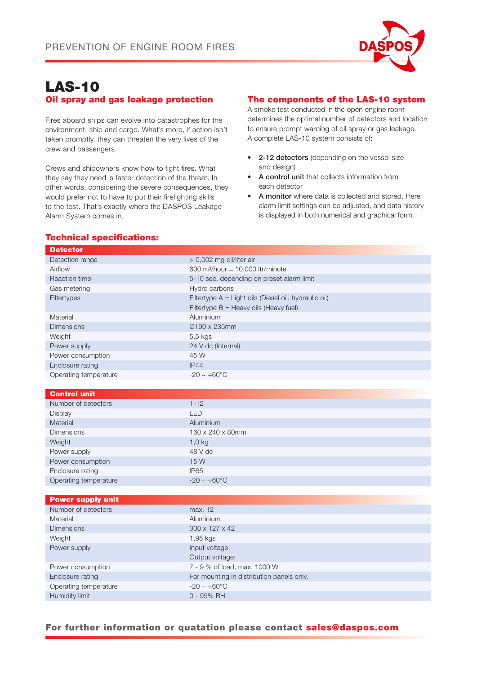

# LAS-10 Oil spray and gas leakage protection

Fires aboard ships can evolve into catastrophes for the environment, ship and cargo. What's more, if action isn't taken promptly, they can threaten the very lives of the crew and passengers.

Crews and shipowners know how to fight fires. What they say they need is faster detection of the threat. In other words, considering the severe consequences, they would prefer not to have to put their firefighting skills to the test. That's exactly where the DASPOS Leakage Alarm System comes in.

## The components of the LAS-10 system

A smoke test conducted in the open engine room determines the optimal number of detectors and location to ensure prompt warning of oil spray or gas leakage. A complete LAS-10 system consists of:

- 2-12 detectors (depending on the vessel size and design)
- A control unit that collects information from each detector
- A monitor where data is collected and stored. Here alarm limit settings can be adjusted, and data history is displayed in both numerical and graphical form.

# Technical specifications:

| <b>Detector</b>          |                                                                                                   |
|--------------------------|---------------------------------------------------------------------------------------------------|
| Detection range          | > 0,002 mg oil/liter air                                                                          |
| Airflow                  | 600 m <sup>3</sup> /hour = 10.000 ltr/minute                                                      |
| Reaction time            | 5-10 sec. depending on preset alarm limit                                                         |
| Gas metering             | Hydro carbons                                                                                     |
| Filtertypes              | Filtertype A = Light oils (Diesel oil, hydraulic oil)<br>Filtertype $B =$ Heavy oils (Heavy fuel) |
| Material                 | Aluminium                                                                                         |
| <b>Dimensions</b>        | Ø190 x 235mm                                                                                      |
| Weight                   | 5,5 kgs                                                                                           |
| Power supply             | 24 V dc (Internal)                                                                                |
| Power consumption        | 45 W                                                                                              |
| Enclosure rating         | IP44                                                                                              |
| Operating temperature    | $-20 \sim +60^{\circ}$ C                                                                          |
|                          |                                                                                                   |
| <b>Control unit</b>      |                                                                                                   |
| Number of detectors      | $1 - 12$                                                                                          |
| Display                  | <b>LED</b>                                                                                        |
| Material                 | Aluminium                                                                                         |
| <b>Dimensions</b>        | 160 x 240 x 80mm                                                                                  |
| Weight                   | $1,0$ kg                                                                                          |
| Power supply             | 48 V dc                                                                                           |
| Power consumption        | 15 W                                                                                              |
| Enclosure rating         | <b>IP65</b>                                                                                       |
| Operating temperature    | $-20 \sim +60^{\circ}$ C                                                                          |
|                          |                                                                                                   |
| <b>Power supply unit</b> |                                                                                                   |
| Number of detectors      | max. 12                                                                                           |
| Material                 | Aluminium                                                                                         |
| <b>Dimensions</b>        | 300 x 127 x 42                                                                                    |
| Weight                   | 1,95 kgs                                                                                          |
| Power supply             | Input voltage:                                                                                    |
|                          | Output voltage:                                                                                   |
| Power consumption        | 7 - 9 % of load, max. 1000 W                                                                      |

#### For further information or quatation please contact sales@daspos.com

Enclosure rating For mounting in distribution panels only.

Operating temperature  $-20 \sim +60^{\circ}$ C Humidity limit 0 - 95% RH